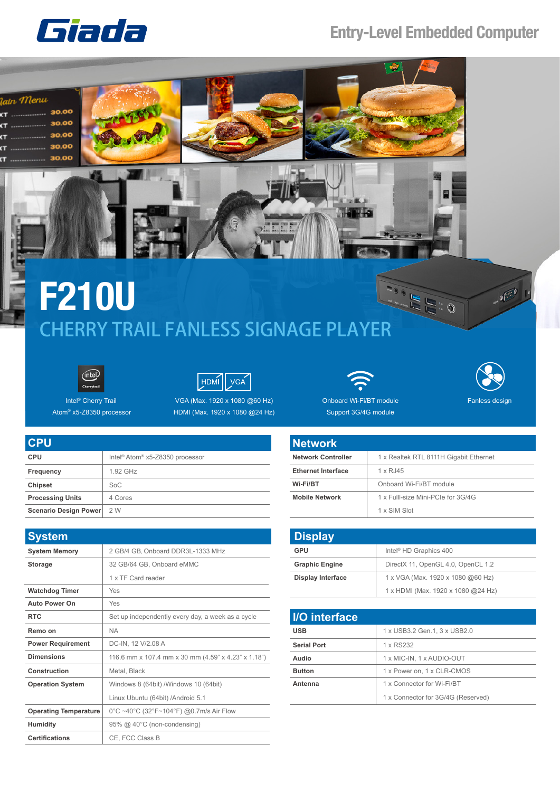

## **Entry-Level Embedded Computer**



## **F210U**<br>CHERRY TRAIL FANLESS SIGNAGE PLAYER **F210U**





Intel® Cherry Trail Atom® x5-Z8350 processor

1.92 GHz

Intel® Atom® x5-Z8350 processor

**Chipset** SoC

**CPU CPU Frequency**

| VGA (Max. 1920 x 1080 $@60$ Hz) |  |  |
|---------------------------------|--|--|
| HDMI (Max. 1920 x 1080 @24 Hz)  |  |  |





Onboard Wi-Fi/BT module Support 3G/4G module

| <b>Network</b>            |                                        |
|---------------------------|----------------------------------------|
| <b>Network Controller</b> | 1 x Realtek RTL 8111H Gigabit Ethernet |
| <b>Ethernet Interface</b> | 1 x RJ45                               |
| Wi-Fi/BT                  | Onboard Wi-Fi/BT module                |
| <b>Mobile Network</b>     | 1 x Fulll-size Mini-PCIe for 3G/4G     |
|                           | 1 x SIM Slot                           |

| <b>Display</b>           |                                    |
|--------------------------|------------------------------------|
| GPU                      | Intel <sup>®</sup> HD Graphics 400 |
| <b>Graphic Engine</b>    | DirectX 11, OpenGL 4.0, OpenCL 1.2 |
| <b>Display Interface</b> | 1 x VGA (Max. 1920 x 1080 @60 Hz)  |
|                          | 1 x HDMI (Max. 1920 x 1080 @24 Hz) |

| I/O interface      |                                    |
|--------------------|------------------------------------|
| <b>USB</b>         | 1 x USB3.2 Gen.1, 3 x USB2.0       |
| <b>Serial Port</b> | 1 x RS232                          |
| Audio              | 1 x MIC-IN, 1 x AUDIO-OUT          |
| <b>Button</b>      | 1 x Power on, 1 x CLR-CMOS         |
| Antenna            | 1 x Connector for Wi-Fi/BT         |
|                    | 1 x Connector for 3G/4G (Reserved) |

| <b>Processing Units</b>  | 4 Cores                                             |
|--------------------------|-----------------------------------------------------|
| Scenario Design Power    | 2W                                                  |
|                          |                                                     |
| <b>System</b>            |                                                     |
| <b>System Memory</b>     | 2 GB/4 GB, Onboard DDR3L-1333 MHz                   |
| Storage                  | 32 GB/64 GB, Onboard eMMC                           |
|                          | 1 x TF Card reader                                  |
| <b>Watchdog Timer</b>    | Yes                                                 |
| <b>Auto Power On</b>     | Yes                                                 |
| <b>RTC</b>               | Set up independently every day, a week as a cycle   |
| Remo on                  | <b>NA</b>                                           |
| <b>Power Requirement</b> | DC-IN, 12 V/2.08 A                                  |
| <b>Dimensions</b>        | 116.6 mm x 107.4 mm x 30 mm (4.59" x 4.23" x 1.18") |
| Construction             | Metal, Black                                        |
| <b>Operation System</b>  | Windows 8 (64bit) /Windows 10 (64bit)               |

**Operating Temperature** 0°C ~40°C (32°F~104°F) @0.7m/s Air Flow

Humidity 95% @ 40°C (non-condensing)

**Certifications** CE, FCC Class B

Linux Ubuntu (64bit) /Android 5.1